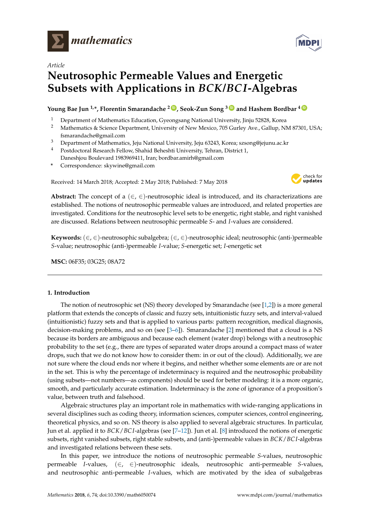

# *Article*

# **Neutrosophic Permeable Values and Energetic Subsets with Applications in** *BCK***/***BCI***-Algebras**

# **Young Bae Jun 1,\*, Florentin Smarandache <sup>2</sup> [ID](https://orcid.org/0000-0002-5560-5926) , Seok-Zun Song <sup>3</sup> [ID](https://orcid.org/0000-0002-2383-664X) and Hashem Bordbar <sup>4</sup> [ID](https://orcid.org/0000-0003-3871-217X)**

- <sup>1</sup> Department of Mathematics Education, Gyeongsang National University, Jinju 52828, Korea<br><sup>2</sup> Mathematics & Science Department University of New Mexico, 705 Gurley Ave. Callup NI
- <sup>2</sup> Mathematics & Science Department, University of New Mexico, 705 Gurley Ave., Gallup, NM 87301, USA; fsmarandache@gmail.com
- <sup>3</sup> Department of Mathematics, Jeju National University, Jeju 63243, Korea; szsong@jejunu.ac.kr
- <sup>4</sup> Postdoctoral Research Fellow, Shahid Beheshti University, Tehran, District 1, Daneshjou Boulevard 1983969411, Iran; bordbar.amirh@gmail.com
- **\*** Correspondence: skywine@gmail.com

Received: 14 March 2018; Accepted: 2 May 2018; Published: 7 May 2018



**Abstract:** The concept of a  $(\in, \in)$ -neutrosophic ideal is introduced, and its characterizations are established. The notions of neutrosophic permeable values are introduced, and related properties are investigated. Conditions for the neutrosophic level sets to be energetic, right stable, and right vanished are discussed. Relations between neutrosophic permeable *S*- and *I*-values are considered.

**Keywords:** (∈, ∈)-neutrosophic subalgebra; (∈, ∈)-neutrosophic ideal; neutrosophic (anti-)permeable *S*-value; neutrosophic (anti-)permeable *I*-value; *S*-energetic set; *I*-energetic set

**MSC:** 06F35; 03G25; 08A72

## **1. Introduction**

The notion of neutrosophic set (NS) theory developed by Smarandache (see  $[1,2]$  $[1,2]$ ) is a more general platform that extends the concepts of classic and fuzzy sets, intuitionistic fuzzy sets, and interval-valued (intuitionistic) fuzzy sets and that is applied to various parts: pattern recognition, medical diagnosis, decision-making problems, and so on (see  $[3-6]$  $[3-6]$ ). Smarandache  $[2]$  mentioned that a cloud is a NS because its borders are ambiguous and because each element (water drop) belongs with a neutrosophic probability to the set (e.g., there are types of separated water drops around a compact mass of water drops, such that we do not know how to consider them: in or out of the cloud). Additionally, we are not sure where the cloud ends nor where it begins, and neither whether some elements are or are not in the set. This is why the percentage of indeterminacy is required and the neutrosophic probability (using subsets—not numbers—as components) should be used for better modeling: it is a more organic, smooth, and particularly accurate estimation. Indeterminacy is the zone of ignorance of a proposition's value, between truth and falsehood.

Algebraic structures play an important role in mathematics with wide-ranging applications in several disciplines such as coding theory, information sciences, computer sciences, control engineering, theoretical physics, and so on. NS theory is also applied to several algebraic structures. In particular, Jun et al. applied it to *BCK*/*BC I*-algebras (see [\[7](#page-14-4)[–12\]](#page-15-0)). Jun et al. [\[8\]](#page-14-5) introduced the notions of energetic subsets, right vanished subsets, right stable subsets, and (anti-)permeable values in *BCK*/*BC I*-algebras and investigated relations between these sets.

In this paper, we introduce the notions of neutrosophic permeable *S*-values, neutrosophic permeable *I*-values, (∈, ∈)-neutrosophic ideals, neutrosophic anti-permeable *S*-values, and neutrosophic anti-permeable *I*-values, which are motivated by the idea of subalgebras

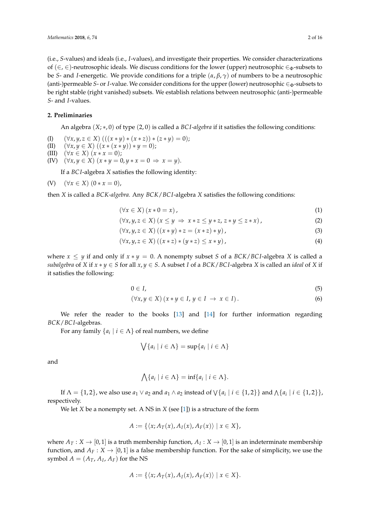(i.e., *S*-values) and ideals (i.e., *I*-values), and investigate their properties. We consider characterizations of  $(\in, \in)$ -neutrosophic ideals. We discuss conditions for the lower (upper) neutrosophic  $\in_{\Phi}$ -subsets to be *S*- and *I*-energetic. We provide conditions for a triple (*α*, *β*, *γ*) of numbers to be a neutrosophic (anti-)permeable *S*- or *I*-value. We consider conditions for the upper (lower) neutrosophic ∈<sub>Φ</sub>-subsets to be right stable (right vanished) subsets. We establish relations between neutrosophic (anti-)permeable *S*- and *I*-values.

### **2. Preliminaries**

An algebra (*X*; ∗, 0) of type (2, 0) is called a *BC I-algebra* if it satisfies the following conditions:

(I)  $(\forall x, y, z \in X) (( (x * y) * (x * z)) * (z * y) = 0);$ 

(II) 
$$
(\forall x, y \in X) ((x * (x * y)) * y = 0);
$$

(III)  $(\forall x \in X) (x * x = 0);$ 

(IV)  $(\forall x, y \in X) (x * y = 0, y * x = 0 \Rightarrow x = y).$ 

If a *BC I*-algebra *X* satisfies the following identity:

(V) 
$$
(\forall x \in X) (0 * x = 0),
$$

then *X* is called a *BCK-algebra.* Any *BCK*/*BC I*-algebra *X* satisfies the following conditions:

<span id="page-1-0"></span>
$$
(\forall x \in X) (x * 0 = x), \tag{1}
$$

$$
(\forall x, y, z \in X) (x \le y \Rightarrow x * z \le y * z, z * y \le z * x), \tag{2}
$$

$$
(\forall x, y, z \in X) ((x * y) * z = (x * z) * y),
$$
\n
$$
(3)
$$

$$
(\forall x, y, z \in X) ((x * z) * (y * z) \le x * y), \qquad (4)
$$

where  $x \leq y$  if and only if  $x * y = 0$ . A nonempty subset *S* of a *BCK*/*BCI*-algebra *X* is called a *subalgebra* of *X* if  $x * y \in S$  for all  $x, y \in S$ . A subset *I* of a *BCK*/*BCI*-algebra *X* is called an *ideal* of *X* if it satisfies the following:

$$
0 \in I,\tag{5}
$$

$$
(\forall x, y \in X) (x * y \in I, y \in I \to x \in I).
$$
\n
$$
(6)
$$

We refer the reader to the books [\[13\]](#page-15-1) and [\[14\]](#page-15-2) for further information regarding *BCK*/*BC I*-algebras.

For any family  $\{a_i \mid i \in \Lambda\}$  of real numbers, we define

$$
\bigvee \{a_i \mid i \in \Lambda\} = \sup \{a_i \mid i \in \Lambda\}
$$

and

$$
\bigwedge \{a_i \mid i \in \Lambda\} = \inf \{a_i \mid i \in \Lambda\}.
$$

If  $\Lambda = \{1,2\}$ , we also use  $a_1 \vee a_2$  and  $a_1 \wedge a_2$  instead of  $\setminus \{a_i \mid i \in \{1,2\}\}\$  and  $\bigwedge \{a_i \mid i \in \{1,2\}\}\$ respectively.

We let *X* be a nonempty set. A NS in *X* (see [\[1\]](#page-14-0)) is a structure of the form

$$
A:=\{\langle x;A_T(x),A_I(x),A_F(x)\rangle \mid x\in X\},\
$$

where  $A_T: X \to [0,1]$  is a truth membership function,  $A_I: X \to [0,1]$  is an indeterminate membership function, and  $A_F : X \to [0,1]$  is a false membership function. For the sake of simplicity, we use the symbol  $A = (A_T, A_I, A_F)$  for the NS

$$
A := \{ \langle x; A_T(x), A_I(x), A_F(x) \rangle \mid x \in X \}.
$$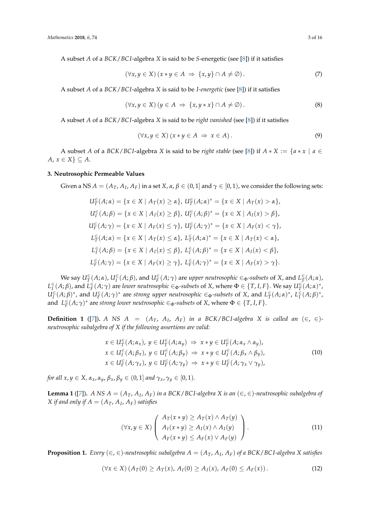A subset *A* of a *BCK*/*BC I*-algebra *X* is said to be *S*-energetic (see [\[8\]](#page-14-5)) if it satisfies

$$
(\forall x, y \in X) (x * y \in A \implies \{x, y\} \cap A \neq \emptyset).
$$
\n
$$
(7)
$$

A subset *A* of a *BCK*/*BC I*-algebra *X* is said to be *I-energetic* (see [\[8\]](#page-14-5)) if it satisfies

$$
(\forall x, y \in X) (y \in A \Rightarrow \{x, y * x\} \cap A \neq \emptyset).
$$
\n
$$
(8)
$$

A subset *A* of a *BCK*/*BC I*-algebra *X* is said to be *right vanished* (see [\[8\]](#page-14-5)) if it satisfies

$$
(\forall x, y \in X) (x * y \in A \Rightarrow x \in A).
$$
\n(9)

A subset *A* of a *BCK*/*BCI*-algebra *X* is said to be *right stable* (see [\[8\]](#page-14-5)) if  $A * X := \{a * x \mid a \in X\}$ *A*,  $x \in X$   $\subseteq$  *A*.

### **3. Neutrosophic Permeable Values**

Given a NS  $A=(A_T,A_I,A_F)$  in a set  $X$ ,  $\alpha,\beta\in(0,1]$  and  $\gamma\in[0,1)$ , we consider the following sets:

$$
U_{T}^{\in}(A;\alpha) = \{x \in X \mid A_{T}(x) \geq \alpha\}, U_{T}^{\in}(A;\alpha)^{*} = \{x \in X \mid A_{T}(x) > \alpha\},
$$
  
\n
$$
U_{I}^{\in}(A;\beta) = \{x \in X \mid A_{I}(x) \geq \beta\}, U_{I}^{\in}(A;\beta)^{*} = \{x \in X \mid A_{I}(x) > \beta\},
$$
  
\n
$$
U_{F}^{\in}(A;\gamma) = \{x \in X \mid A_{F}(x) \leq \gamma\}, U_{F}^{\in}(A;\gamma)^{*} = \{x \in X \mid A_{F}(x) < \gamma\},
$$
  
\n
$$
L_{T}^{\in}(A;\alpha) = \{x \in X \mid A_{T}(x) \leq \alpha\}, L_{T}^{\in}(A;\alpha)^{*} = \{x \in X \mid A_{T}(x) < \alpha\},
$$
  
\n
$$
L_{I}^{\in}(A;\beta) = \{x \in X \mid A_{I}(x) \leq \beta\}, L_{I}^{\in}(A;\beta)^{*} = \{x \in X \mid A_{I}(x) < \beta\},
$$
  
\n
$$
L_{F}^{\in}(A;\gamma) = \{x \in X \mid A_{F}(x) \geq \gamma\}, L_{F}^{\in}(A;\gamma)^{*} = \{x \in X \mid A_{F}(x) > \gamma\}.
$$

We say  $U_T^\in(A;\alpha)$ ,  $U_I^\in(A;\beta)$ , and  $U_F^\in(A;\gamma)$  are upper neutrosophic  $\in_\Phi$ -subsets of X, and  $L_T^\in(A;\alpha)$ ,  $L^{\in}_{I}(A;\beta)$ , and  $L^{\in}_{F}(A;\gamma)$  are lower neutrosophic  $\in_{\Phi}$ -subsets of X, where  $\Phi\in\{T,I,F\}.$  We say  $U^{\in}_{T}(A;\alpha)^{*}$ ,  $U_I^{\in}(A;\beta)^*$ , and  $U_F^{\in}(A;\gamma)^*$  are strong upper neutrosophic  $\in_{\Phi}$ -subsets of X, and  $L^{\in}_{T}(A;\alpha)^*$ ,  $L^{\in}_{I}(A;\beta)^*$ , and  $L_F^{\infty}(A; \gamma)^*$  are *strong lower neutrosophic*  $\in_{\Phi}$ -*subsets* of *X*, where  $\Phi \in \{T, I, F\}$ .

**Definition 1** ([\[7\]](#page-14-4)). *A NS*  $A = (A_T, A_I, A_F)$  *in a BCK*/*BCI-algebra X is called an* ( $\in$ ,  $\in$ )*neutrosophic subalgebra of X if the following assertions are valid:*

$$
x \in U_T^{\in}(A; \alpha_x), y \in U_T^{\in}(A; \alpha_y) \Rightarrow x * y \in U_T^{\in}(A; \alpha_x \wedge \alpha_y),
$$
  
\n
$$
x \in U_T^{\in}(A; \beta_x), y \in U_T^{\in}(A; \beta_y) \Rightarrow x * y \in U_T^{\in}(A; \beta_x \wedge \beta_y),
$$
  
\n
$$
x \in U_F^{\in}(A; \gamma_x), y \in U_F^{\in}(A; \gamma_y) \Rightarrow x * y \in U_F^{\in}(A; \gamma_x \vee \gamma_y),
$$
  
\n(10)

*for all*  $x, y \in X$ ,  $\alpha_x, \alpha_y, \beta_x, \beta_y \in (0, 1]$  *and*  $\gamma_x, \gamma_y \in [0, 1)$ *.* 

<span id="page-2-0"></span>**Lemma 1** ([\[7\]](#page-14-4)). *A NS*  $A = (A_T, A_I, A_F)$  *in a BCK*/*BCI-algebra X is an*  $(\in, \in)$ -neutrosophic subalgebra of  $X$  *if and only if*  $A = (A_T, A_I, A_F)$  *satisfies* 

$$
(\forall x, y \in X) \left( \begin{array}{c} A_T(x * y) \geq A_T(x) \land A_T(y) \\ A_I(x * y) \geq A_I(x) \land A_I(y) \\ A_F(x * y) \leq A_F(x) \lor A_F(y) \end{array} \right). \tag{11}
$$

<span id="page-2-1"></span>**Proposition 1.** *Every* (∈, ∈)*-neutrosophic subalgebra A* = (*AT*, *A<sup>I</sup>* , *AF*) *of a BCK*/*BC I-algebra X satisfies*

$$
(\forall x \in X) (A_T(0) \ge A_T(x), A_I(0) \ge A_I(x), A_F(0) \le A_F(x)). \tag{12}
$$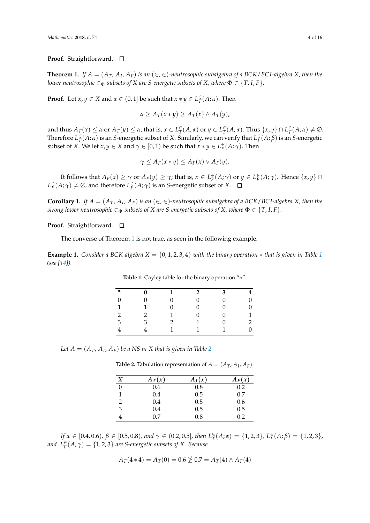**Proof.** Straightforward. □

<span id="page-3-0"></span>**Theorem 1.** If  $A = (A_T, A_I, A_F)$  is an  $(\in, \in)$ -neutrosophic subalgebra of a BCK/BCI-algebra X, then the *lower neutrosophic*  $\in_{\Phi}$ -subsets of *X* are *S*-energetic subsets of *X*, where  $\Phi \in \{T, I, F\}$ *.* 

**Proof.** Let  $x, y \in X$  and  $\alpha \in (0, 1]$  be such that  $x * y \in L^{\infty}_T(A; \alpha)$ . Then

$$
\alpha \geq A_T(x*y) \geq A_T(x) \wedge A_T(y),
$$

and thus  $A_T(x) \le \alpha$  or  $A_T(y) \le \alpha$ ; that is,  $x \in L^{\infty}_T(A; \alpha)$  or  $y \in L^{\infty}_T(A; \alpha)$ . Thus  $\{x, y\} \cap L^{\infty}_T(A; \alpha) \ne \emptyset$ . Therefore  $L^{\infty}_T(A; \alpha)$  is an *S*-energetic subset of *X*. Similarly, we can verify that  $L^{\infty}_I(A; \beta)$  is an *S*-energetic subset of *X*. We let  $x, y \in X$  and  $\gamma \in [0, 1)$  be such that  $x * y \in L_F^{\infty}(A; \gamma)$ . Then

$$
\gamma \leq A_F(x*y) \leq A_F(x) \vee A_F(y).
$$

It follows that  $A_F(x) \geq \gamma$  or  $A_F(y) \geq \gamma$ ; that is,  $x \in L_F^{\infty}(A; \gamma)$  or  $y \in L_F^{\infty}(A; \gamma)$ . Hence  $\{x, y\} \cap$  $L_F^{\infty}(A; \gamma) \neq \emptyset$ , and therefore  $L_F^{\infty}(A; \gamma)$  is an *S*-energetic subset of *X*.

**Corollary 1.** *If*  $A = (A_T, A_I, A_F)$  *is an*  $(\in, \in)$ -neutrosophic subalgebra of a BCK/BCI-algebra X, then the *strong lower neutrosophic*  $\in_{\Phi}$ *-subsets of X are S-energetic subsets of X, where*  $\Phi \in \{T, I, F\}$ *.* 

#### **Proof.** Straightforward. □

The converse of Theorem [1](#page-3-0) is not true, as seen in the following example.

<span id="page-3-1"></span>**Example [1](#page-3-1).** *Consider a BCK-algebra*  $X = \{0, 1, 2, 3, 4\}$  *with the binary operation*  $*$  *that is given in Table* 1 *(see [\[14\]](#page-15-2)).*

| * |  |  |   |
|---|--|--|---|
|   |  |  | 0 |
| 1 |  |  | 0 |
| n |  |  |   |
| 3 |  |  |   |
|   |  |  | D |

**Table 1.** Cayley table for the binary operation "∗".

<span id="page-3-2"></span>Let  $A = (A_T, A_I, A_F)$  be a NS in X that is given in Table [2.](#page-3-2)

**Table 2.** Tabulation representation of  $A = (A_T, A_I, A_F)$ .

| X | $A_T(x)$ | $A_I(x)$ | $A_F(x)$ |
|---|----------|----------|----------|
| 0 | 0.6      | 0.8      | 0.2      |
|   | 0.4      | 0.5      | 0.7      |
| 2 | 0.4      | 0.5      | 0.6      |
| 3 | 0.4      | 0.5      | 0.5      |
|   | 0.7      | 0.8      | 0.2      |

If  $\alpha \in [0.4, 0.6)$ ,  $\beta \in [0.5, 0.8)$ , and  $\gamma \in (0.2, 0.5]$ , then  $L^{\infty}_{T}(A; \alpha) = \{1, 2, 3\}$ ,  $L^{\infty}_{I}(A; \beta) = \{1, 2, 3\}$ , *and*  $L_F^{\infty}(A; \gamma) = \{1, 2, 3\}$  *are S-energetic subsets of X. Because* 

$$
A_T(4*4) = A_T(0) = 0.6 \ngeq 0.7 = A_T(4) \land A_T(4)
$$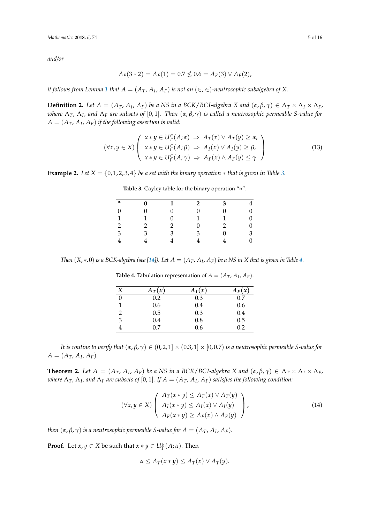*and/or*

$$
A_F(3*2) = A_F(1) = 0.7 \nleq 0.6 = A_F(3) \vee A_F(2),
$$

*it follows from Lemma* [1](#page-2-0) *that A*  $=$   $(A_T,$   $A_I,$   $A_F)$  *is not an*  $(\in,$   $\in$   $)$ -neutrosophic subalgebra of X.

**Definition 2.** Let  $A = (A_T, A_I, A_F)$  be a NS in a BCK/BCI-algebra X and  $(\alpha, \beta, \gamma) \in \Lambda_T \times \Lambda_I \times \Lambda_F$ , *where* Λ*T*, Λ*<sup>I</sup> , and* Λ*<sup>F</sup> are subsets of* [0, 1]*. Then* (*α*, *β*, *γ*) *is called a neutrosophic permeable S-value for*  $A = (A_T, A_I, A_F)$  *if the following assertion is valid:* 

$$
(\forall x, y \in X) \left( \begin{array}{c} x * y \in U_{T}^{\in}(A; \alpha) \Rightarrow A_{T}(x) \lor A_{T}(y) \geq \alpha, \\ x * y \in U_{F}^{\in}(A; \beta) \Rightarrow A_{I}(x) \lor A_{I}(y) \geq \beta, \\ x * y \in U_{F}^{\in}(A; \gamma) \Rightarrow A_{F}(x) \land A_{F}(y) \leq \gamma \end{array} \right)
$$
(13)

<span id="page-4-3"></span><span id="page-4-0"></span>**Example 2.** *Let*  $X = \{0, 1, 2, 3, 4\}$  *be a set with the binary operation*  $*$  *that is given in Table [3.](#page-4-0)* 

| ∗ |  | 2 |   |
|---|--|---|---|
|   |  |   | 0 |
| 1 |  |   | 0 |
|   |  |   | 0 |
| 3 |  |   | 3 |
|   |  |   | 0 |

<span id="page-4-2"></span>**Table 3.** Cayley table for the binary operation "∗".

<span id="page-4-1"></span>*Then*  $(X, *, 0)$  *is a BCK-algebra (see [\[14\]](#page-15-2)). Let*  $A = (A_T, A_I, A_F)$  *be a NS in X that is given in Table [4.](#page-4-1)* 

| X        | $A_T(x)$ | $A_I(x)$ | $A_F(x)$ |
|----------|----------|----------|----------|
| $\Omega$ | 0.2      | 0.3      | 0.7      |
| 1        | 0.6      | 0.4      | 0.6      |
| 2        | 0.5      | 0.3      | 0.4      |
| 3        | 0.4      | 0.8      | 0.5      |
|          | 0.7      | 0.6      | 0.2      |

**Table 4.** Tabulation representation of  $A = (A_T, A_I, A_F)$ .

*It is routine to verify that*  $(\alpha, \beta, \gamma) \in (0, 2, 1] \times (0.3, 1] \times [0, 0.7)$  *is a neutrosophic permeable S-value for*  $A = (A_T, A_I, A_F)$ .

**Theorem 2.** Let  $A = (A_T, A_I, A_F)$  be a NS in a BCK/BCI-algebra X and  $(\alpha, \beta, \gamma) \in \Lambda_T \times \Lambda_I \times \Lambda_F$ ,  $\alpha$  *where*  $\Lambda_T$ ,  $\Lambda_I$ , and  $\Lambda_F$  are subsets of [0, 1]. If  $A=(A_T,A_I,A_F)$  satisfies the following condition:

$$
(\forall x, y \in X) \left( \begin{array}{c} A_T(x * y) \leq A_T(x) \vee A_T(y) \\ A_I(x * y) \leq A_I(x) \vee A_I(y) \\ A_F(x * y) \geq A_F(x) \wedge A_F(y) \end{array} \right), \tag{14}
$$

*then*  $(α, β, γ)$  *is a neutrosophic permeable S-value for*  $A = (A_T, A_I, A_F)$ *.* 

**Proof.** Let  $x, y \in X$  be such that  $x * y \in U_T^{\infty}(A; \alpha)$ . Then

<span id="page-4-4"></span>
$$
\alpha \leq A_T(x*y) \leq A_T(x) \vee A_T(y).
$$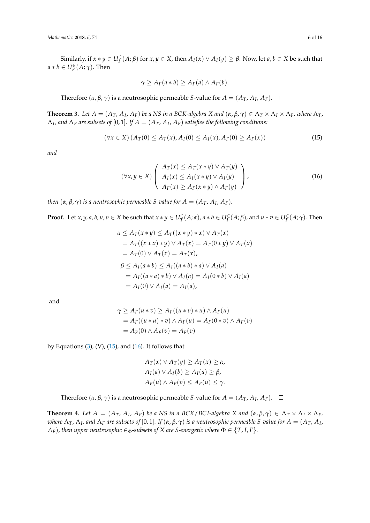Similarly, if  $x * y \in U_I^{\in}(A;\beta)$  for  $x,y \in X$ , then  $A_I(x) \vee A_I(y) \ge \beta$ . Now, let  $a,b \in X$  be such that  $a * b \in U_F^{\infty}(A; \gamma)$ . Then

<span id="page-5-0"></span>
$$
\gamma \geq A_F(a * b) \geq A_F(a) \wedge A_F(b).
$$

Therefore  $(\alpha, \beta, \gamma)$  is a neutrosophic permeable *S*-value for  $A = (A_T, A_I, A_F)$ .

**Theorem 3.** Let  $A = (A_T, A_I, A_F)$  be a NS in a BCK-algebra X and  $(\alpha, \beta, \gamma) \in \Lambda_T \times \Lambda_I \times \Lambda_F$ , where  $\Lambda_T$ ,  $\Lambda_I$ , and  $\Lambda_F$  are subsets of  $[0,1]$ . If  $A=(A_T,A_I,A_F)$  satisfies the following conditions:

$$
(\forall x \in X) (A_T(0) \le A_T(x), A_I(0) \le A_I(x), A_F(0) \ge A_F(x))
$$
\n(15)

*and*

<span id="page-5-1"></span>
$$
(\forall x, y \in X) \left( \begin{array}{c} A_T(x) \leq A_T(x * y) \vee A_T(y) \\ A_I(x) \leq A_I(x * y) \vee A_I(y) \\ A_F(x) \geq A_F(x * y) \wedge A_F(y) \end{array} \right), \tag{16}
$$

*then*  $(α, β, γ)$  *is a neutrosophic permeable S-value for*  $A = (A_T, A_I, A_F)$ *.* 

**Proof.** Let  $x, y, a, b, u, v \in X$  be such that  $x * y \in U_T^{\in}(A; \alpha)$ ,  $a * b \in U_I^{\in}(A; \beta)$ , and  $u * v \in U_F^{\in}(A; \gamma)$ . Then

$$
\alpha \leq A_T(x * y) \leq A_T((x * y) * x) \vee A_T(x)
$$
  
=  $A_T((x * x) * y) \vee A_T(x) = A_T(0 * y) \vee A_T(x)$   
=  $A_T(0) \vee A_T(x) = A_T(x)$ ,  
 $\beta \leq A_I(a * b) \leq A_I((a * b) * a) \vee A_I(a)$   
=  $A_I((a * a) * b) \vee A_I(a) = A_I(0 * b) \vee A_I(a)$   
=  $A_I(0) \vee A_I(a) = A_I(a)$ ,

and

$$
\gamma \ge A_F(u * v) \ge A_F((u * v) * u) \wedge A_F(u)
$$
  
=  $A_F((u * u) * v) \wedge A_F(u) = A_F(0 * v) \wedge A_F(v)$   
=  $A_F(0) \wedge A_F(v) = A_F(v)$ 

by Equations  $(3)$ ,  $(V)$ ,  $(15)$ , and  $(16)$ . It follows that

$$
A_T(x) \lor A_T(y) \ge A_T(x) \ge \alpha,
$$
  
\n
$$
A_I(a) \lor A_I(b) \ge A_I(a) \ge \beta,
$$
  
\n
$$
A_F(u) \land A_F(v) \le A_F(u) \le \gamma.
$$

Therefore  $(\alpha, \beta, \gamma)$  is a neutrosophic permeable *S*-value for  $A = (A_T, A_I, A_F)$ .

**Theorem 4.** Let  $A = (A_T, A_I, A_F)$  be a NS in a BCK/BCI-algebra X and  $(\alpha, \beta, \gamma) \in \Lambda_T \times \Lambda_I \times \Lambda_F$ , where  $\Lambda_T$ ,  $\Lambda_I$ , and  $\Lambda_F$  are subsets of  $[0,1]$ . If  $(\alpha,\beta,\gamma)$  is a neutrosophic permeable S-value for  $A=(A_T,A_I)$ , *A*<sub>*F*</sub>)*, then upper neutrosophic*  $\in_{\Phi}$ *-subsets of X are S-energetic where*  $\Phi \in \{T, I, F\}$ *.*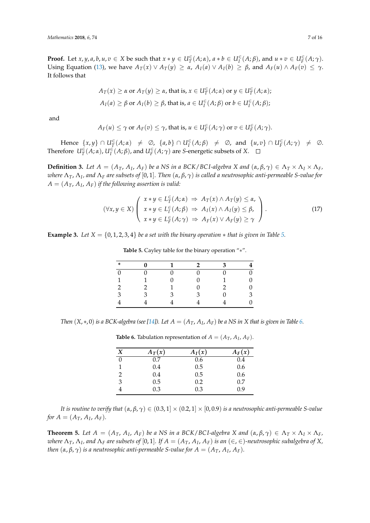**Proof.** Let  $x, y, a, b, u, v \in X$  be such that  $x * y \in U_T^{\in}(A; \alpha)$ ,  $a * b \in U_I^{\in}(A; \beta)$ , and  $u * v \in U_F^{\in}(A; \gamma)$ . Using Equation [\(13\)](#page-4-2), we have  $A_T(x) \vee A_T(y) \ge \alpha$ ,  $A_I(a) \vee A_I(b) \ge \beta$ , and  $A_F(u) \wedge A_F(v) \le \gamma$ . It follows that

$$
A_T(x) \ge \alpha \text{ or } A_T(y) \ge \alpha, \text{ that is, } x \in U_T^{\in}(A; \alpha) \text{ or } y \in U_T^{\in}(A; \alpha);
$$
  

$$
A_I(a) \ge \beta \text{ or } A_I(b) \ge \beta, \text{ that is, } a \in U_I^{\in}(A; \beta) \text{ or } b \in U_I^{\in}(A; \beta);
$$

and

$$
A_F(u) \leq \gamma
$$
 or  $A_F(v) \leq \gamma$ , that is,  $u \in U_F^{\in}(A; \gamma)$  or  $v \in U_F^{\in}(A; \gamma)$ .

 $Hence \{x, y\} \cap U_T^{\in}(A; \alpha) \neq \emptyset$ ,  $\{a, b\} \cap U_T^{\in}(A; \beta) \neq \emptyset$ , and  $\{u, v\} \cap U_F^{\in}(A; \gamma) \neq \emptyset$ . Therefore  $U^{\in}_{T}(A;\alpha)$ ,  $U^{\in}_{I}(A;\beta)$ , and  $U^{\in}_{F}(A;\gamma)$  are *S*-energetic subsets of *X*.

**Definition 3.** Let  $A = (A_T, A_I, A_F)$  be a NS in a BCK/BCI-algebra X and  $(\alpha, \beta, \gamma) \in \Lambda_T \times \Lambda_I \times \Lambda_F$ , *where* Λ*T*, Λ*<sup>I</sup> , and* Λ*<sup>F</sup> are subsets of* [0, 1]*. Then* (*α*, *β*, *γ*) *is called a neutrosophic anti-permeable S-value for*  $A = (A_T, A_I, A_F)$  *if the following assertion is valid:* 

$$
(\forall x, y \in X) \left( \begin{array}{c} x * y \in L^{\infty}_{T}(A; \alpha) \Rightarrow A_{T}(x) \land A_{T}(y) \leq \alpha, \\ x * y \in L^{\infty}_{T}(A; \beta) \Rightarrow A_{I}(x) \land A_{I}(y) \leq \beta, \\ x * y \in L^{\infty}_{F}(A; \gamma) \Rightarrow A_{F}(x) \lor A_{F}(y) \geq \gamma \end{array} \right).
$$
\n(17)

<span id="page-6-0"></span>**Example 3.** *Let*  $X = \{0, 1, 2, 3, 4\}$  *be a set with the binary operation*  $*$  *that is given in Table* [5.](#page-6-0)

|   |   | $\mathcal{P}$ | ٦ | 4                |
|---|---|---------------|---|------------------|
|   |   |               |   | $\boldsymbol{0}$ |
|   |   |               |   | 0                |
|   |   |               |   | 0                |
| 3 | κ | ٦             |   | 3                |
|   |   |               |   | 0                |
|   |   |               |   |                  |

<span id="page-6-2"></span>**Table 5.** Cayley table for the binary operation "∗".

<span id="page-6-1"></span>*Then*  $(X, *, 0)$  *is a BCK-algebra (see [\[14\]](#page-15-2)). Let*  $A = (A_T, A_I, A_F)$  *be a NS in X that is given in Table [6.](#page-6-1)* 

| X | $A_T(x)$ | $A_I(x)$ | $A_F(x)$ |
|---|----------|----------|----------|
| 0 | 0.7      | 0.6      | 0.4      |
|   | 0.4      | 0.5      | 0.6      |
| 2 | 0.4      | 0.5      | 0.6      |
| 3 | 0.5      | 0.2      | 0.7      |
|   | 0.3      | 0.3      | 0.9      |

**Table 6.** Tabulation representation of  $A = (A_T, A_I, A_F)$ .

*It is routine to verify that*  $(\alpha, \beta, \gamma) \in (0.3, 1] \times (0.2, 1] \times [0, 0.9)$  *is a neutrosophic anti-permeable S-value for*  $A = (A_T, A_I, A_F)$ *.* 

**Theorem 5.** Let  $A = (A_T, A_I, A_F)$  be a NS in a BCK/BCI-algebra X and  $(\alpha, \beta, \gamma) \in \Lambda_T \times \Lambda_I \times \Lambda_F$ , where  $\Lambda_T$ ,  $\Lambda_I$ , and  $\Lambda_F$  are subsets of  $[0,1]$ . If  $A=(A_T,A_I,A_F)$  is an  $(\in,\in)$ -neutrosophic subalgebra of X, *then*  $(α, β, γ)$  *is a neutrosophic anti-permeable S-value for*  $A = (A_T, A_I, A_F)$ *.*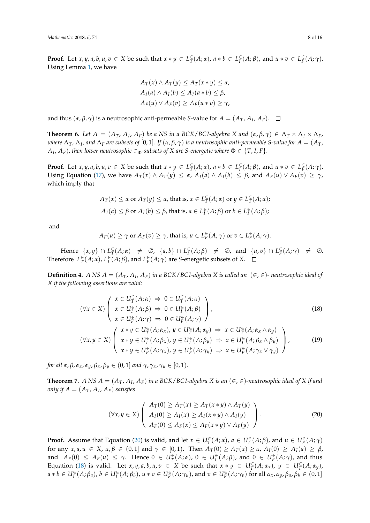**Proof.** Let  $x, y, a, b, u, v \in X$  be such that  $x * y \in L^{\infty}_T(A; \alpha)$ ,  $a * b \in L^{\infty}_I(A; \beta)$ , and  $u * v \in L^{\infty}_F(A; \gamma)$ . Using Lemma [1,](#page-2-0) we have

$$
A_T(x) \land A_T(y) \le A_T(x*y) \le \alpha,
$$
  
\n
$$
A_I(a) \land A_I(b) \le A_I(a*b) \le \beta,
$$
  
\n
$$
A_F(u) \lor A_F(v) \ge A_F(u*v) \ge \gamma,
$$

and thus  $(\alpha, \beta, \gamma)$  is a neutrosophic anti-permeable *S*-value for  $A = (A_T, A_I, A_F)$ .

**Theorem 6.** Let  $A = (A_T, A_I, A_F)$  be a NS in a BCK/BCI-algebra X and  $(\alpha, \beta, \gamma) \in \Lambda_T \times \Lambda_I \times \Lambda_F$ ,  $\alpha$  *where*  $\Lambda_T$ *,*  $\Lambda_I$ *, and*  $\Lambda_F$  *are subsets of [0,* 1]. *If*  $(\alpha, \beta, \gamma)$  *is a neutrosophic anti-permeable S-value for*  $A=(A_T,$  $A_I$ ,  $A_F$ ), then lower neutrosophic  $\in$   $_{\Phi}$ -subsets of X are S-energetic where  $\Phi$   $\in$   $\{T,I,F\}.$ 

**Proof.** Let  $x, y, a, b, u, v \in X$  be such that  $x * y \in L^{\infty}_T(A; \alpha)$ ,  $a * b \in L^{\infty}_I(A; \beta)$ , and  $u * v \in L^{\infty}_F(A; \gamma)$ . Using Equation [\(17\)](#page-6-2), we have  $A_T(x) \wedge A_T(y) \le \alpha$ ,  $A_I(a) \wedge A_I(b) \le \beta$ , and  $A_F(u) \vee A_F(v) \ge \gamma$ , which imply that

$$
A_T(x) \le \alpha \text{ or } A_T(y) \le \alpha \text{, that is, } x \in L_T^{\in}(A; \alpha) \text{ or } y \in L_T^{\in}(A; \alpha);
$$
  

$$
A_I(a) \le \beta \text{ or } A_I(b) \le \beta \text{, that is, } a \in L_I^{\in}(A; \beta) \text{ or } b \in L_I^{\in}(A; \beta);
$$

and

<span id="page-7-1"></span>
$$
A_F(u) \ge \gamma
$$
 or  $A_F(v) \ge \gamma$ , that is,  $u \in L_F^{\infty}(A; \gamma)$  or  $v \in L_F^{\infty}(A; \gamma)$ .

 $Hence \{x, y\} \cap L^{\infty}_T(A; \alpha) \neq \emptyset$ ,  $\{a, b\} \cap L^{\infty}_T(A; \beta) \neq \emptyset$ , and  $\{u, v\} \cap L^{\infty}_T(A; \gamma) \neq \emptyset$ . Therefore  $L^{\infty}_T(A; \alpha)$ ,  $L^{\infty}_I(A; \beta)$ , and  $L^{\infty}_F(A; \gamma)$  are *S*-energetic subsets of *X*.

**Definition 4.** *A NS*  $A = (A_T, A_I, A_F)$  *in a BCK*/*BCI-algebra X is called an*  $(\in, \in)$ *- neutrosophic ideal of X if the following assertions are valid:*

$$
(\forall x \in X) \left( \begin{array}{l} x \in U_{T}^{\in}(A; \alpha) \Rightarrow 0 \in U_{T}^{\in}(A; \alpha) \\ x \in U_{F}^{\in}(A; \beta) \Rightarrow 0 \in U_{F}^{\in}(A; \beta) \\ x \in U_{F}^{\in}(A; \gamma) \Rightarrow 0 \in U_{F}^{\in}(A; \gamma) \end{array} \right), \tag{18}
$$
  

$$
(\forall x, y \in X) \left( \begin{array}{l} x * y \in U_{T}^{\in}(A; \alpha_{x}), y \in U_{T}^{\in}(A; \alpha_{y}) \Rightarrow x \in U_{T}^{\in}(A; \alpha_{x} \wedge \alpha_{y}) \\ x * y \in U_{F}^{\in}(A; \beta_{x}), y \in U_{F}^{\in}(A; \beta_{y}) \Rightarrow x \in U_{F}^{\in}(A; \beta_{x} \wedge \beta_{y}) \\ x * y \in U_{F}^{\in}(A; \gamma_{x}), y \in U_{F}^{\in}(A; \gamma_{y}) \Rightarrow x \in U_{F}^{\in}(A; \gamma_{x} \vee \gamma_{y}) \end{array} \right), \tag{19}
$$

*for all*  $\alpha$ ,  $\beta$ ,  $\alpha$ <sub>*x*</sub>,  $\alpha$ <sub>*y*</sub>,  $\beta$ <sub>*x*</sub>,  $\beta$ <sub>*y*</sub>  $\in$   $(0, 1]$  *and*  $\gamma$ ,  $\gamma$ <sub>*x*</sub>,  $\gamma$ <sub>*y*</sub>  $\in$   $[0, 1)$ *.* 

<span id="page-7-2"></span>**Theorem 7.** A NS  $A = (A_T, A_I, A_F)$  in a BCK/BCI-algebra  $X$  is an  $(\in, \in)$ -neutrosophic ideal of  $X$  if and *only if*  $A = (A_T, A_I, A_F)$  *satisfies* 

<span id="page-7-3"></span><span id="page-7-0"></span>
$$
(\forall x, y \in X) \left( \begin{array}{c} A_T(0) \ge A_T(x) \ge A_T(x * y) \land A_T(y) \\ A_I(0) \ge A_I(x) \ge A_I(x * y) \land A_I(y) \\ A_F(0) \le A_F(x) \le A_F(x * y) \lor A_F(y) \end{array} \right).
$$
 (20)

**Proof.** Assume that Equation [\(20\)](#page-7-0) is valid, and let  $x \in U_T^{\infty}(A; \alpha)$ ,  $a \in U_T^{\infty}(A; \beta)$ , and  $u \in U_F^{\infty}(A; \gamma)$ for any  $x, a, u \in X$ ,  $\alpha, \beta \in (0,1]$  and  $\gamma \in [0,1)$ . Then  $A_T(0) \ge A_T(x) \ge \alpha$ ,  $A_T(0) \ge A_T(a) \ge \beta$ , and  $A_F(0) \leq A_F(u) \leq \gamma$ . Hence  $0 \in U_T^{\infty}(A;\alpha)$ ,  $0 \in U_I^{\infty}(A;\beta)$ , and  $0 \in U_F^{\infty}(A;\gamma)$ , and thus Equation [\(18\)](#page-7-1) is valid. Let  $x, y, a, b, u, v \in X$  be such that  $x * y \in U_T^{\in}(A; \alpha_x)$ ,  $y \in U_T^{\in}(A; \alpha_y)$ ,  $a*b\in U_I^\in(A;\beta_a)$ ,  $b\in U_I^\in(A;\beta_b)$ ,  $u*v\in U_F^\in(A;\gamma_u)$ , and  $v\in U_F^\in(A;\gamma_v)$  for all  $\alpha_x,\alpha_y,\beta_a,\beta_b\in(0,1]$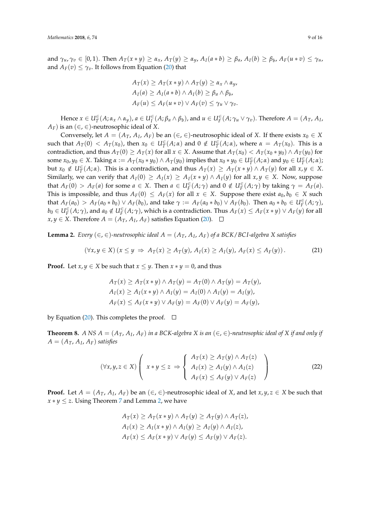and  $\gamma_u, \gamma_v \in [0,1)$ . Then  $A_T(x * y) \ge \alpha_x$ ,  $A_T(y) \ge \alpha_y$ ,  $A_I(a * b) \ge \beta_a$ ,  $A_I(b) \ge \beta_b$ ,  $A_F(u * v) \le \gamma_u$ , and  $A_F(v) \leq \gamma_v$ . It follows from Equation [\(20\)](#page-7-0) that

$$
A_T(x) \ge A_T(x * y) \land A_T(y) \ge \alpha_x \land \alpha_y,
$$
  
\n
$$
A_I(a) \ge A_I(a * b) \land A_I(b) \ge \beta_a \land \beta_b,
$$
  
\n
$$
A_F(u) \le A_F(u * v) \lor A_F(v) \le \gamma_u \lor \gamma_v.
$$

Hence  $x \in U_T^\in(A; \alpha_x \wedge \alpha_y)$ ,  $a \in U_I^\in(A; \beta_a \wedge \beta_b)$ , and  $u \in U_F^\in(A; \gamma_u \vee \gamma_v)$ . Therefore  $A = (A_T, A_I, A_I)$  $A_F$ ) is an ( $\in$ ,  $\in$ )-neutrosophic ideal of *X*.

Conversely, let  $A = (A_T, A_I, A_F)$  be an  $(\in, \in)$ -neutrosophic ideal of *X*. If there exists  $x_0 \in X$ such that  $A_T(0) < A_T(x_0)$ , then  $x_0 \in U_T^{\in}(A;\alpha)$  and  $0 \notin U_T^{\in}(A;\alpha)$ , where  $\alpha = A_T(x_0)$ . This is a contradiction, and thus  $A_T(0) \ge A_T(x)$  for all  $x \in X$ . Assume that  $A_T(x_0) < A_T(x_0 * y_0) \wedge A_T(y_0)$  for some  $x_0, y_0 \in X$ . Taking  $\alpha := A_T(x_0 * y_0) \wedge A_T(y_0)$  implies that  $x_0 * y_0 \in U_T^{\infty}(A; \alpha)$  and  $y_0 \in U_T^{\infty}(A; \alpha)$ ; but  $x_0 \notin U_T^{\in}(A; \alpha)$ . This is a contradiction, and thus  $A_T(x) \geq A_T(x * y) \wedge A_T(y)$  for all  $x, y \in X$ . Similarly, we can verify that  $A_I(0) \ge A_I(x) \ge A_I(x * y) \wedge A_I(y)$  for all  $x, y \in X$ . Now, suppose that  $A_F(0) > A_F(a)$  for some  $a \in X$ . Then  $a \in U_F^{\in}(A; \gamma)$  and  $0 \notin U_F^{\in}(A; \gamma)$  by taking  $\gamma = A_F(a)$ . This is impossible, and thus  $A_F(0) \leq A_F(x)$  for all  $x \in X$ . Suppose there exist  $a_0, b_0 \in X$  such that  $A_F(a_0) > A_F(a_0 * b_0) \vee A_F(b_0)$ , and take  $\gamma := A_F(a_0 * b_0) \vee A_F(b_0)$ . Then  $a_0 * b_0 \in U_F^{\infty}(A; \gamma)$ ,  $b_0\in U_F^\in(A;\gamma)$ , and  $a_0\notin U_F^\in(A;\gamma)$ , which is a contradiction. Thus  $A_F(x)\leq A_F(x*y)\vee A_F(y)$  for all *x*, *y* ∈ *X*. Therefore  $A = (A_T, A_I, A_F)$  satisfies Equation [\(20\)](#page-7-0).

<span id="page-8-0"></span>**Lemma 2.** *Every* (∈, ∈)-neutrosophic ideal  $A = (A_T, A_I, A_F)$  of a BCK/BCI-algebra X satisfies

$$
(\forall x, y \in X) (x \leq y \Rightarrow A_T(x) \geq A_T(y), A_I(x) \geq A_I(y), A_F(x) \leq A_F(y)). \tag{21}
$$

**Proof.** Let *x*, *y*  $\in$  *X* be such that *x*  $\leq$  *y*. Then *x*  $*$  *y* = 0, and thus

$$
A_T(x) \ge A_T(x*y) \land A_T(y) = A_T(0) \land A_T(y) = A_T(y),
$$
  
\n
$$
A_I(x) \ge A_I(x*y) \land A_I(y) = A_I(0) \land A_I(y) = A_I(y),
$$
  
\n
$$
A_F(x) \le A_F(x*y) \lor A_F(y) = A_F(0) \lor A_F(y) = A_F(y),
$$

by Equation [\(20\)](#page-7-0). This completes the proof.  $\Box$ 

**Theorem 8.** A NS  $A = (A_T, A_I, A_F)$  in a BCK-algebra  $X$  is an  $(\in, \in)$ -neutrosophic ideal of  $X$  if and only if  $A = (A_T, A_I, A_F)$  *satisfies* 

$$
(\forall x, y, z \in X) \left( x \ast y \leq z \implies \begin{cases} A_T(x) \geq A_T(y) \land A_T(z) \\ A_I(x) \geq A_I(y) \land A_I(z) \\ A_F(x) \leq A_F(y) \lor A_F(z) \end{cases} \right) \tag{22}
$$

**Proof.** Let  $A = (A_T, A_I, A_F)$  be an  $(\in, \in)$ -neutrosophic ideal of *X*, and let *x*, *y*, *z*  $\in$  *X* be such that  $x * y \leq z$ . Using Theorem [7](#page-7-2) and Lemma [2,](#page-8-0) we have

<span id="page-8-1"></span>
$$
A_T(x) \ge A_T(x * y) \land A_T(y) \ge A_T(y) \land A_T(z),
$$
  
\n
$$
A_I(x) \ge A_I(x * y) \land A_I(y) \ge A_I(y) \land A_I(z),
$$
  
\n
$$
A_F(x) \le A_F(x * y) \lor A_F(y) \le A_F(y) \lor A_F(z).
$$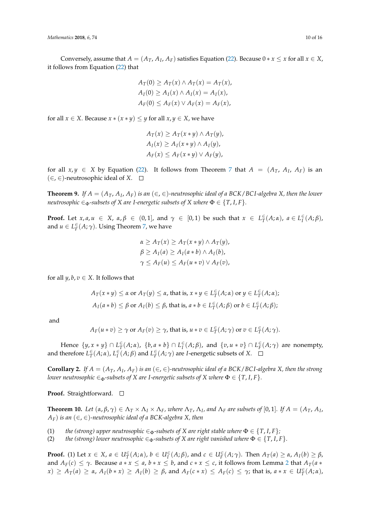Conversely, assume that  $A = (A_T, A_I, A_F)$  satisfies Equation [\(22\)](#page-8-1). Because  $0 * x \leq x$  for all  $x \in X$ , it follows from Equation [\(22\)](#page-8-1) that

$$
A_T(0) \ge A_T(x) \land A_T(x) = A_T(x),
$$
  
\n
$$
A_I(0) \ge A_I(x) \land A_I(x) = A_I(x),
$$
  
\n
$$
A_F(0) \le A_F(x) \lor A_F(x) = A_F(x),
$$

for all *x* ∈ *X*. Because *x* ∗ (*x* ∗ *y*) ≤ *y* for all *x*, *y* ∈ *X*, we have

$$
A_T(x) \ge A_T(x * y) \wedge A_T(y),
$$
  
\n
$$
A_I(x) \ge A_I(x * y) \wedge A_I(y),
$$
  
\n
$$
A_F(x) \le A_F(x * y) \vee A_F(y),
$$

for all  $x, y \in X$  by Equation [\(22\)](#page-8-1). It follows from Theorem [7](#page-7-2) that  $A = (A_T, A_I, A_F)$  is an  $(∈, ∈)$ -neutrosophic ideal of *X*.  $□$ 

**Theorem 9.** If  $A = (A_T, A_I, A_F)$  is an  $(\in, \in)$ -neutrosophic ideal of a BCK/BCI-algebra X, then the lower *neutrosophic*  $\in_{\Phi}$ *-subsets of X are I-energetic subsets of X where*  $\Phi \in \{T, I, F\}$ *.* 

**Proof.** Let  $x, a, u \in X$ ,  $\alpha, \beta \in (0, 1]$ , and  $\gamma \in [0, 1)$  be such that  $x \in L^{\infty}_{T}(A; \alpha)$ ,  $a \in L^{\infty}_{T}(A; \beta)$ , and  $u \in L^{\infty}_F(A; \gamma)$ . Using Theorem [7,](#page-7-2) we have

$$
\alpha \ge A_T(x) \ge A_T(x * y) \land A_T(y),
$$
  
\n
$$
\beta \ge A_I(a) \ge A_I(a * b) \land A_I(b),
$$
  
\n
$$
\gamma \le A_F(u) \le A_F(u * v) \lor A_F(v),
$$

for all  $y, b, v \in X$ . It follows that

$$
A_T(x * y) \le \alpha \text{ or } A_T(y) \le \alpha, \text{ that is, } x * y \in L_T^{\infty}(A; \alpha) \text{ or } y \in L_T^{\infty}(A; \alpha);
$$
  

$$
A_I(a * b) \le \beta \text{ or } A_I(b) \le \beta, \text{ that is, } a * b \in L_T^{\infty}(A; \beta) \text{ or } b \in L_T^{\infty}(A; \beta);
$$

and

$$
A_F(u * v) \ge \gamma
$$
 or  $A_F(v) \ge \gamma$ , that is,  $u * v \in L^{\infty}_T(A; \gamma)$  or  $v \in L^{\infty}_T(A; \gamma)$ .

Hence  $\{y, x * y\} \cap L^{\infty}_T(A; \alpha)$ ,  $\{b, a * b\} \cap L^{\infty}_I(A; \beta)$ , and  $\{v, u * v\} \cap L^{\infty}_F(A; \gamma)$  are nonempty, and therefore  $L^{\infty}_T(A; \alpha)$ ,  $L^{\infty}_I(A; \beta)$  and  $L^{\infty}_F(A; \gamma)$  are *I*-energetic subsets of *X*.

**Corollary 2.** If  $A = (A_T, A_I, A_F)$  is an  $(\in, \in)$ -neutrosophic ideal of a BCK/BCI-algebra *X*, then the strong *lower neutrosophic*  $\in_{\Phi}$ -subsets of *X* are *I*-energetic subsets of *X* where  $\Phi \in \{T, I, F\}$ *.* 

**Proof.** Straightforward. □

**Theorem 10.** Let  $(\alpha, \beta, \gamma) \in \Lambda_T \times \Lambda_I \times \Lambda_F$ , where  $\Lambda_T$ ,  $\Lambda_I$ , and  $\Lambda_F$  are subsets of [0, 1]. If  $A = (A_T, A_I)$ , *A*<sup>*F*</sup>) *is an* (∈, ∈)-neutrosophic ideal of a BCK-algebra X, then

(1) *the (strong) upper neutrosophic*  $\in_{\Phi}$ -subsets of X are right stable where  $\Phi \in \{T, I, F\}$ ;

(2) *the (strong) lower neutrosophic*  $\in_{\Phi}$ -subsets of X are right vanished where  $\Phi \in \{T, I, F\}$ .

**Proof.** (1) Let  $x \in X$ ,  $a \in U_T^{\in}(A; \alpha)$ ,  $b \in U_I^{\in}(A; \beta)$ , and  $c \in U_F^{\in}(A; \gamma)$ . Then  $A_T(a) \geq \alpha$ ,  $A_I(b) \geq \beta$ , and  $A_F(c) \leq \gamma$ . Because  $a * x \leq a$ ,  $b * x \leq b$ , and  $c * x \leq c$ , it follows from Lemma [2](#page-8-0) that  $A_T(a * a)$  $f(x) \ge A_T(a) \ge \alpha$ ,  $A_I(b*x) \ge A_I(b) \ge \beta$ , and  $A_F(c*x) \le A_F(c) \le \gamma$ ; that is,  $a*x \in U_T^{\infty}(A;\alpha)$ ,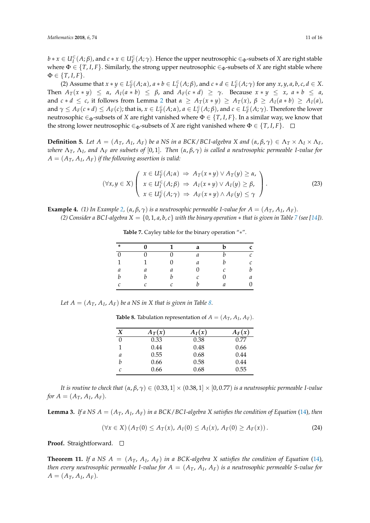$b*x\in U_I^{\infty}(A;\beta)$ , and  $c*x\in U_F^{\infty}(A;\gamma)$ . Hence the upper neutrosophic  $\in_{\Phi}$ -subsets of *X* are right stable where  $\Phi \in \{T, I, F\}$ . Similarly, the strong upper neutrosophic  $\in_{\Phi}$ -subsets of *X* are right stable where  $\Phi \in \{T, I, F\}.$ 

(2) Assume that  $x * y \in L^{\infty}_T(A; \alpha)$ ,  $a * b \in L^{\infty}_I(A; \beta)$ , and  $c * d \in L^{\infty}_F(A; \gamma)$  for any  $x, y, a, b, c, d \in X$ . Then  $A_T(x * y) \le \alpha$ ,  $A_I(a * b) \le \beta$ , and  $A_F(c * d) \ge \gamma$ . Because  $x * y \le x$ ,  $a * b \le a$ , and  $c * d \leq c$ , it follows from Lemma [2](#page-8-0) that  $\alpha \geq A_T(x * y) \geq A_T(x)$ ,  $\beta \geq A_I(a * b) \geq A_I(a)$ , and  $\gamma \leq A_F(c*d) \leq A_F(c)$ ; that is,  $x \in L^{\infty}_T(A;\alpha)$ ,  $a \in L^{\infty}_I(A;\beta)$ , and  $c \in L^{\infty}_F(A;\gamma)$ . Therefore the lower neutrosophic  $\in_{\Phi}$ -subsets of *X* are right vanished where  $\Phi \in \{T, I, F\}$ . In a similar way, we know that the strong lower neutrosophic  $\in_{\Phi}$ -subsets of *X* are right vanished where  $\Phi \in \{T, I, F\}$ .  $\square$ 

**Definition 5.** Let  $A = (A_T, A_I, A_F)$  be a NS in a BCK/BCI-algebra X and  $(\alpha, \beta, \gamma) \in \Lambda_T \times \Lambda_I \times \Lambda_F$ , *where* Λ*T*, Λ*<sup>I</sup> , and* Λ*<sup>F</sup> are subsets of* [0, 1]*. Then* (*α*, *β*, *γ*) *is called a neutrosophic permeable I-value for*  $A = (A_T, A_I, A_F)$  *if the following assertion is valid:* 

$$
(\forall x, y \in X) \left( \begin{array}{l} x \in U_{T}^{\in}(A; \alpha) \Rightarrow A_{T}(x * y) \lor A_{T}(y) \geq \alpha, \\ x \in U_{T}^{\in}(A; \beta) \Rightarrow A_{I}(x * y) \lor A_{I}(y) \geq \beta, \\ x \in U_{F}^{\in}(A; \gamma) \Rightarrow A_{F}(x * y) \land A_{F}(y) \leq \gamma \end{array} \right).
$$
\n(23)

<span id="page-10-0"></span>**Example 4.** (1) In Example [2,](#page-4-3)  $(\alpha, \beta, \gamma)$  is a neutrosophic permeable I-value for  $A = (A_T, A_I, A_F)$ . *(2)* Consider a BCI-algebra  $X = \{0, 1, a, b, c\}$  with the binary operation  $*$  that is given in Table [7](#page-10-0) (see [\[14\]](#page-15-2)).

| ∗                | በ | 1 | a                           | h             | C |
|------------------|---|---|-----------------------------|---------------|---|
| $\theta$         |   |   | а                           |               | C |
| $\mathbf{1}$     | 1 |   | а                           | h             | C |
| $\mathfrak a$    | a | а |                             | C             | h |
| $\boldsymbol{b}$ |   |   | $\mathcal{C}_{\mathcal{C}}$ |               | а |
| $\mathcal{C}$    | ⌒ | r |                             | $\mathfrak a$ | Դ |

<span id="page-10-2"></span>**Table 7.** Cayley table for the binary operation "∗".

<span id="page-10-1"></span>Let  $A = (A_T, A_I, A_F)$  be a NS in X that is given in Table [8.](#page-10-1)

**Table 8.** Tabulation representation of  $A = (A_T, A_I, A_F)$ .

| X        | $A_T(x)$ | $A_I(x)$ | $A_F(x)$ |
|----------|----------|----------|----------|
| $\theta$ | 0.33     | 0.38     | 0.77     |
|          | 0.44     | 0.48     | 0.66     |
| a        | 0.55     | 0.68     | 0.44     |
| b        | 0.66     | 0.58     | 0.44     |
| C        | 0.66     | 0.68     | 0.55     |

*It is routine to check that*  $(\alpha, \beta, \gamma) \in (0.33, 1] \times (0.38, 1] \times [0, 0.77)$  *is a neutrosophic permeable I-value for*  $A = (A_T, A_I, A_F)$ *.* 

<span id="page-10-3"></span>**Lemma 3.** If a NS  $A = (A_T, A_I, A_F)$  in a BCK/BCI-algebra X satisfies the condition of Equation [\(14\)](#page-4-4), then

$$
(\forall x \in X) (A_T(0) \le A_T(x), A_I(0) \le A_I(x), A_F(0) \ge A_F(x)).
$$
\n(24)

**Proof.** Straightforward. □

**Theorem 11.** If a NS  $A = (A_T, A_I, A_F)$  in a BCK-algebra X satisfies the condition of Equation [\(14\)](#page-4-4), *then every neutrosophic permeable I-value for A* = (*AT*, *A<sup>I</sup>* , *AF*) *is a neutrosophic permeable S-value for*  $A = (A_T, A_I, A_F)$ .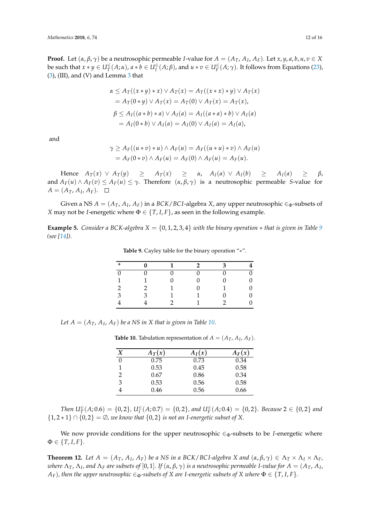**Proof.** Let  $(\alpha, \beta, \gamma)$  be a neutrosophic permeable *I*-value for  $A = (A_T, A_I, A_F)$ . Let  $x, y, a, b, u, v \in X$ be such that  $x*y\in U^{\in}_{T}(A;\alpha)$ ,  $a*b\in U^{\in}_{I}(A;\beta)$ , and  $u*v\in U^{\in}_{F}(A;\gamma)$ . It follows from Equations [\(23\)](#page-10-2),  $(3)$ , (III), and (V) and Lemma [3](#page-10-3) that

$$
\alpha \le A_T((x * y) * x) \lor A_T(x) = A_T((x * x) * y) \lor A_T(x)
$$
  
=  $A_T(0 * y) \lor A_T(x) = A_T(0) \lor A_T(x) = A_T(x),$   

$$
\beta \le A_I((a * b) * a) \lor A_I(a) = A_I((a * a) * b) \lor A_I(a)
$$
  
=  $A_I(0 * b) \lor A_I(a) = A_I(0) \lor A_I(a) = A_I(a),$ 

and

$$
\gamma \ge A_F((u * v) * u) \wedge A_F(u) = A_F((u * u) * v) \wedge A_F(u)
$$
  
=  $A_F(0 * v) \wedge A_F(u) = A_F(0) \wedge A_F(u) = A_F(u)$ .

Hence  $A_T(x) \vee A_T(y) \geq A_T(x) \geq \alpha$ ,  $A_I(a) \vee A_I(b) \geq A_I(a) \geq \beta$ , and  $A_F(u) \wedge A_F(v) \leq A_F(u) \leq \gamma$ . Therefore  $(\alpha, \beta, \gamma)$  is a neutrosophic permeable *S*-value for  $A = (A_T, A_I, A_F).$ 

Given a NS  $A = (A_T, A_I, A_F)$  in a *BCK*/*BCI*-algebra *X*, any upper neutrosophic  $\in_{\Phi}$ -subsets of *X* may not be *I*-energetic where  $\Phi \in \{T, I, F\}$ , as seen in the following example.

<span id="page-11-0"></span>**Example 5.** *Consider a BCK-algebra*  $X = \{0, 1, 2, 3, 4\}$  *with the binary operation*  $*$  *that is given in Table* [9](#page-11-0) *(see [\[14\]](#page-15-2)).*

| ∗            |   | 1 | $\mathcal{P}$ | ٦ |    |
|--------------|---|---|---------------|---|----|
| $\theta$     |   |   |               |   | 0  |
| $\mathbf{1}$ |   |   |               |   | 0  |
| 2            | 2 |   |               |   | 0  |
| 3            | κ |   |               |   | 0  |
|              |   |   |               |   | O. |

**Table 9.** Cayley table for the binary operation "∗".

<span id="page-11-1"></span>Let  $A = (A_T, A_I, A_F)$  be a NS in X that is given in Table [10.](#page-11-1)

**Table 10.** Tabulation representation of  $A = (A_T, A_I, A_F)$ .

| Χ | $A_T(x)$ | $A_I(x)$ | $A_F(x)$ |
|---|----------|----------|----------|
| 0 | 0.75     | 0.73     | 0.34     |
|   | 0.53     | 0.45     | 0.58     |
| 2 | 0.67     | 0.86     | 0.34     |
| 3 | 0.53     | 0.56     | 0.58     |
|   | 0.46     | 0.56     | 0.66     |

*Then*  $U_T^{\in}(A; 0.6) = \{0, 2\}$ ,  $U_I^{\in}(A; 0.7) = \{0, 2\}$ , and  $U_F^{\in}(A; 0.4) = \{0, 2\}$ . Because 2  $\in \{0, 2\}$  and {1, 2 ∗ 1} ∩ {0, 2} = ∅*, we know that* {0, 2} *is not an I-energetic subset of X.*

We now provide conditions for the upper neutrosophic  $\in_{\Phi}$ -subsets to be *I*-energetic where  $\Phi \in \{T, I, F\}.$ 

<span id="page-11-2"></span>**Theorem 12.** Let  $A = (A_T, A_I, A_F)$  be a NS in a BCK/BCI-algebra X and  $(\alpha, \beta, \gamma) \in \Lambda_T \times \Lambda_I \times \Lambda_F$ , where  $\Lambda_T$ ,  $\Lambda_I$ , and  $\Lambda_F$  are subsets of  $[0,1]$ . If  $(\alpha,\beta,\gamma)$  is a neutrosophic permeable I-value for  $A=(A_T,A_I)$ , *A*<sub>*F*</sub>)*, then the upper neutrosophic*  $\in_{\Phi}$ *-subsets of X are I-energetic subsets of X where*  $\Phi \in \{T, I, F\}$ *.*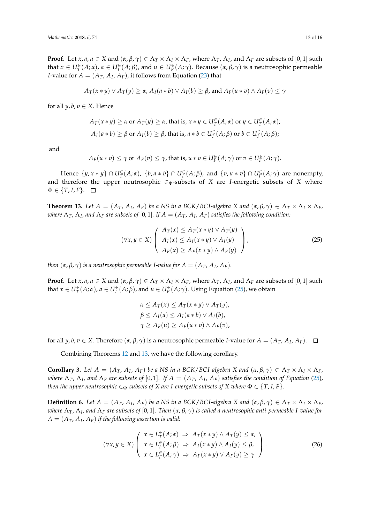**Proof.** Let *x*, *a*, *u*  $\in$  *X* and  $(\alpha, \beta, \gamma) \in \Lambda_T \times \Lambda_I \times \Lambda_F$ , where  $\Lambda_T$ ,  $\Lambda_I$ , and  $\Lambda_F$  are subsets of  $[0,1]$  such that  $x \in U_T^{\in}(A;\alpha)$ ,  $a \in U_I^{\in}(A;\beta)$ , and  $u \in U_F^{\in}(A;\gamma)$ . Because  $(\alpha,\beta,\gamma)$  is a neutrosophic permeable *I*-value for  $A = (A_T, A_I, A_F)$ , it follows from Equation [\(23\)](#page-10-2) that

$$
A_T(x*y) \vee A_T(y) \ge \alpha
$$
,  $A_I(a*b) \vee A_I(b) \ge \beta$ , and  $A_F(u*v) \wedge A_F(v) \le \gamma$ 

for all  $y, b, v \in X$ . Hence

$$
A_T(x * y) \ge \alpha \text{ or } A_T(y) \ge \alpha, \text{ that is, } x * y \in U_T^{\in}(A; \alpha) \text{ or } y \in U_T^{\in}(A; \alpha);
$$
  

$$
A_I(a * b) \ge \beta \text{ or } A_I(b) \ge \beta, \text{ that is, } a * b \in U_I^{\in}(A; \beta) \text{ or } b \in U_I^{\in}(A; \beta);
$$

and

$$
A_F(u*v) \leq \gamma \text{ or } A_F(v) \leq \gamma \text{, that is, } u*v \in U_F^{\infty}(A; \gamma) \text{ or } v \in U_F^{\infty}(A; \gamma).
$$

Hence  $\{y, x * y\} \cap U^{\in}_{T}(A; \alpha)$ ,  $\{b, a * b\} \cap U^{\in}_{I}(A; \beta)$ , and  $\{v, u * v\} \cap U^{\in}_{F}(A; \gamma)$  are nonempty, and therefore the upper neutrosophic  $\in_{\Phi}$ -subsets of *X* are *I*-energetic subsets of *X* where  $\Phi \in \{T, I, F\}.$ 

<span id="page-12-1"></span>**Theorem 13.** Let  $A = (A_T, A_I, A_F)$  be a NS in a BCK/BCI-algebra X and  $(\alpha, \beta, \gamma) \in \Lambda_T \times \Lambda_I \times \Lambda_F$ ,  $\alpha$  *where*  $\Lambda_T$ ,  $\Lambda_I$ , and  $\Lambda_F$  are subsets of [0, 1]. If  $A=(A_T,A_I,A_F)$  satisfies the following condition:

$$
(\forall x, y \in X) \left( \begin{array}{c} A_T(x) \leq A_T(x * y) \lor A_T(y) \\ A_I(x) \leq A_I(x * y) \lor A_I(y) \\ A_F(x) \geq A_F(x * y) \land A_F(y) \end{array} \right), \tag{25}
$$

*then*  $(α, β, γ)$  *is a neutrosophic permeable I-value for*  $A = (A_T, A_I, A_F)$ *.* 

**Proof.** Let *x*, *a*, *u*  $\in$  *X* and  $(\alpha, \beta, \gamma) \in \Lambda_T \times \Lambda_I \times \Lambda_F$ , where  $\Lambda_T$ ,  $\Lambda_I$ , and  $\Lambda_F$  are subsets of  $[0,1]$  such that  $x \in U_T^{\infty}(A; \alpha)$ ,  $a \in U_T^{\infty}(A; \beta)$ , and  $u \in U_F^{\infty}(A; \gamma)$ . Using Equation [\(25\)](#page-12-0), we obtain

<span id="page-12-0"></span>
$$
\alpha \leq A_T(x) \leq A_T(x * y) \vee A_T(y),
$$
  

$$
\beta \leq A_I(a) \leq A_I(a * b) \vee A_I(b),
$$
  

$$
\gamma \geq A_F(u) \geq A_F(u * v) \wedge A_F(v),
$$

for all  $y, b, v \in X$ . Therefore  $(\alpha, \beta, \gamma)$  is a neutrosophic permeable *I*-value for  $A = (A_T, A_I, A_F)$ .

Combining Theorems [12](#page-11-2) and [13,](#page-12-1) we have the following corollary.

**Corollary 3.** Let  $A = (A_T, A_I, A_F)$  be a NS in a BCK/BCI-algebra X and  $(\alpha, \beta, \gamma) \in \Lambda_T \times \Lambda_I \times \Lambda_F$ , *where*  $\Lambda_T$ ,  $\Lambda_I$ , and  $\Lambda_F$  are subsets of [0,1]. If  $A = (A_T, A_I, A_F)$  satisfies the condition of Equation [\(25\)](#page-12-0), *then the upper neutrosophic*  $\in_{\Phi}$ -subsets of *X* are *I*-energetic subsets of *X* where  $\Phi \in \{T, I, F\}$ *.* 

**Definition 6.** Let  $A = (A_T, A_I, A_F)$  be a NS in a BCK/BCI-algebra X and  $(\alpha, \beta, \gamma) \in \Lambda_T \times \Lambda_I \times \Lambda_F$ , *where* Λ*T*, Λ*<sup>I</sup> , and* Λ*<sup>F</sup> are subsets of* [0, 1]*. Then* (*α*, *β*, *γ*) *is called a neutrosophic anti-permeable I-value for*  $A = (A_T, A_I, A_F)$  *if the following assertion is valid:* 

<span id="page-12-2"></span>
$$
(\forall x, y \in X) \left( \begin{array}{l} x \in L_{T}^{\in}(A; \alpha) \Rightarrow A_{T}(x * y) \land A_{T}(y) \leq \alpha, \\ x \in L_{T}^{\in}(A; \beta) \Rightarrow A_{I}(x * y) \land A_{I}(y) \leq \beta, \\ x \in L_{F}^{\in}(A; \gamma) \Rightarrow A_{F}(x * y) \lor A_{F}(y) \geq \gamma \end{array} \right).
$$
\n(26)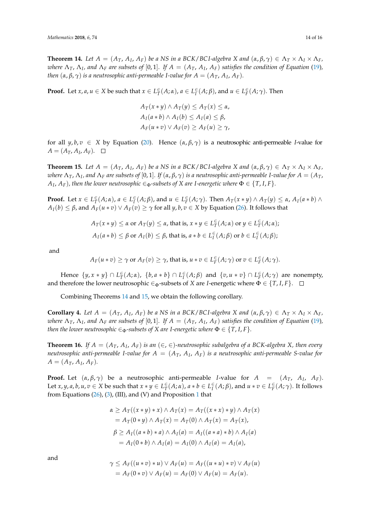<span id="page-13-0"></span>**Theorem 14.** Let  $A = (A_T, A_I, A_F)$  be a NS in a BCK/BCI-algebra X and  $(\alpha, \beta, \gamma) \in \Lambda_T \times \Lambda_I \times \Lambda_F$ , *where*  $\Lambda_T$ ,  $\Lambda_I$ , and  $\Lambda_F$  are subsets of [0,1]. If  $A = (A_T, A_I, A_F)$  satisfies the condition of Equation [\(19\)](#page-7-3), *then*  $(α, β, γ)$  *is a neutrosophic anti-permeable I-value for*  $A = (A_T, A_I, A_F)$ *.* 

**Proof.** Let  $x, a, u \in X$  be such that  $x \in L^{\infty}_T(A; \alpha)$ ,  $a \in L^{\infty}_I(A; \beta)$ , and  $u \in L^{\infty}_F(A; \gamma)$ . Then

$$
A_T(x * y) \wedge A_T(y) \le A_T(x) \le \alpha,
$$
  
\n
$$
A_I(a * b) \wedge A_I(b) \le A_I(a) \le \beta,
$$
  
\n
$$
A_F(u * v) \vee A_F(v) \ge A_F(u) \ge \gamma,
$$

for all  $y, b, v \in X$  by Equation [\(20\)](#page-7-0). Hence  $(\alpha, \beta, \gamma)$  is a neutrosophic anti-permeable *I*-value for  $A = (A_T, A_I, A_F).$ 

<span id="page-13-1"></span>**Theorem 15.** Let  $A = (A_T, A_I, A_F)$  be a NS in a BCK/BCI-algebra X and  $(\alpha, \beta, \gamma) \in \Lambda_T \times \Lambda_I \times \Lambda_F$ ,  $\alpha$  *kere*  $\Lambda_T$ ,  $\Lambda_I$ , and  $\Lambda_F$  are subsets of [0, 1]. If  $(\alpha, \beta, \gamma)$  is a neutrosophic anti-permeable I-value for  $A=(A_T, A_T)$  $A_I$ ,  $A_F$ ), then the lower neutrosophic  $\in$   $_{\Phi}$ -subsets of X are I-energetic where  $\Phi \in \{T,I,F\}.$ 

**Proof.** Let  $x \in L^{\infty}_T(A; \alpha)$ ,  $a \in L^{\infty}_I(A; \beta)$ , and  $u \in L^{\infty}_F(A; \gamma)$ . Then  $A_T(x * y) \wedge A_T(y) \leq \alpha$ ,  $A_I(a * b) \wedge A_T(y)$  $A_I(b) \leq \beta$ , and  $A_F(u * v) \vee A_F(v) \geq \gamma$  for all  $\gamma, b, v \in X$  by Equation [\(26\)](#page-12-2). It follows that

$$
A_T(x * y) \le \alpha \text{ or } A_T(y) \le \alpha, \text{ that is, } x * y \in L_T^{\infty}(A; \alpha) \text{ or } y \in L_T^{\infty}(A; \alpha);
$$
  

$$
A_I(a * b) \le \beta \text{ or } A_I(b) \le \beta, \text{ that is, } a * b \in L_I^{\infty}(A; \beta) \text{ or } b \in L_I^{\infty}(A; \beta);
$$

and

$$
A_F(u * v) \ge \gamma
$$
 or  $A_F(v) \ge \gamma$ , that is,  $u * v \in L_F^{\infty}(A; \gamma)$  or  $v \in L_F^{\infty}(A; \gamma)$ .

Hence  $\{y, x * y\} \cap L^{\infty}_T(A; \alpha)$ ,  $\{b, a * b\} \cap L^{\infty}_I(A; \beta)$  and  $\{v, u * v\} \cap L^{\infty}_F(A; \gamma)$  are nonempty, and therefore the lower neutrosophic  $\in_{\Phi}$ -subsets of *X* are *I*-energetic where  $\Phi \in \{T, I, F\}$ .  $\square$ 

Combining Theorems [14](#page-13-0) and [15,](#page-13-1) we obtain the following corollary.

**Corollary 4.** Let  $A = (A_T, A_I, A_F)$  be a NS in a BCK/BCI-algebra X and  $(\alpha, \beta, \gamma) \in \Lambda_T \times \Lambda_I \times \Lambda_F$ , *where*  $\Lambda_T$ ,  $\Lambda_I$ , and  $\Lambda_F$  are subsets of [0,1]. If  $A = (A_T, A_I, A_F)$  satisfies the condition of Equation [\(19\)](#page-7-3), *then the lower neutrosophic*  $\in_{\Phi}$ *-subsets of X are I-energetic where*  $\Phi \in \{T, I, F\}$ *.* 

**Theorem 16.** If  $A = (A_T, A_I, A_F)$  is an  $(\in, \in)$ -neutrosophic subalgebra of a BCK-algebra X, then every *neutrosophic anti-permeable I-value for A* = (*AT*, *A<sup>I</sup>* , *AF*) *is a neutrosophic anti-permeable S-value for*  $A = (A_T, A_I, A_F)$ .

**Proof.** Let  $(\alpha, \beta, \gamma)$  be a neutrosophic anti-permeable *I*-value for  $A = (A_T, A_I, A_F)$ . Let  $x, y, a, b, u, v \in X$  be such that  $x * y \in L^{\infty}_T(A; \alpha)$ ,  $a * b \in L^{\infty}_I(A; \beta)$ , and  $u * v \in L^{\infty}_F(A; \gamma)$ . It follows from Equations [\(26\)](#page-12-2), [\(3\)](#page-1-0), (III), and (V) and Proposition [1](#page-2-1) that

$$
\alpha \ge A_T((x*y)*x) \land A_T(x) = A_T((x*x)*y) \land A_T(x)
$$
  
=  $A_T(0*y) \land A_T(x) = A_T(0) \land A_T(x) = A_T(x),$   

$$
\beta \ge A_I((a*b)*a) \land A_I(a) = A_I((a*a)*b) \land A_I(a)
$$
  
=  $A_I(0*b) \land A_I(a) = A_I(0) \land A_I(a) = A_I(a),$ 

and

$$
\gamma \leq A_F((u*v)*u) \vee A_F(u) = A_F((u*u)*v) \vee A_F(u)
$$
  
=  $A_F(0*v) \vee A_F(u) = A_F(0) \vee A_F(u) = A_F(u)$ .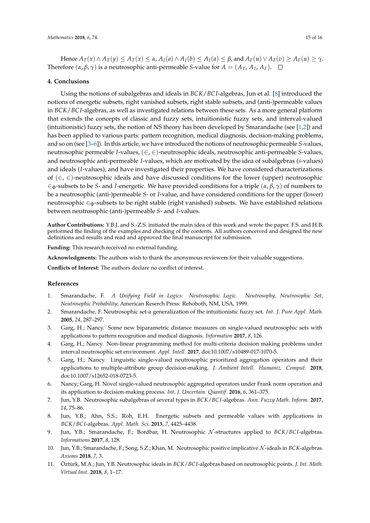Hence  $A_T(x) \wedge A_T(y) \leq A_T(x) \leq \alpha$ ,  $A_I(a) \wedge A_I(b) \leq A_I(a) \leq \beta$ , and  $A_F(u) \vee A_F(v) \geq A_F(u) \geq \gamma$ . Therefore  $(\alpha, \beta, \gamma)$  is a neutrosophic anti-permeable *S*-value for  $A = (A_T, A_I, A_F)$ .

#### **4. Conclusions**

Using the notions of subalgebras and ideals in *BCK*/*BC I*-algebras, Jun et al. [\[8\]](#page-14-5) introduced the notions of energetic subsets, right vanished subsets, right stable subsets, and (anti-)permeable values in *BCK*/*BC I*-algebras, as well as investigated relations between these sets. As a more general platform that extends the concepts of classic and fuzzy sets, intuitionistic fuzzy sets, and interval-valued (intuitionistic) fuzzy sets, the notion of NS theory has been developed by Smarandache (see [\[1,](#page-14-0)[2\]](#page-14-1)) and has been applied to various parts: pattern recognition, medical diagnosis, decision-making problems, and so on (see [\[3](#page-14-2)[–6\]](#page-14-3)). In this article, we have introduced the notions of neutrosophic permeable *S*-values, neutrosophic permeable *I*-values, (∈, ∈)-neutrosophic ideals, neutrosophic anti-permeable *S*-values, and neutrosophic anti-permeable *I*-values, which are motivated by the idea of subalgebras (*s*-values) and ideals (*I*-values), and have investigated their properties. We have considered characterizations of (∈, ∈)-neutrosophic ideals and have discussed conditions for the lower (upper) neutrosophic  $\epsilon_{\Phi}$ -subsets to be *S*- and *I*-energetic. We have provided conditions for a triple ( $\alpha$ ,  $\beta$ ,  $\gamma$ ) of numbers to be a neutrosophic (anti-)permeable *S*- or *I*-value, and have considered conditions for the upper (lower) neutrosophic ∈Φ-subsets to be right stable (right vanished) subsets. We have established relations between neutrosophic (anti-)permeable *S*- and *I*-values.

**Author Contributions:** Y.B.J. and S.-Z.S. initiated the main idea of this work and wrote the paper. F.S. and H.B. performed the finding of the examples and checking of the contents. All authors conceived and designed the new definitions and results and read and approved the final manuscript for submission.

**Funding:** This research received no external funding.

**Acknowledgments:** The authors wish to thank the anonymous reviewers for their valuable suggestions.

**Conflicts of Interest:** The authors declare no conflict of interest.

#### **References**

- <span id="page-14-0"></span>1. Smarandache, F. *A Unifying Field in Logics: Neutrosophic Logic. Neutrosophy, Neutrosophic Set, Neutrosophic Probability*; American Reserch Press: Rehoboth, NM, USA, 1999.
- <span id="page-14-1"></span>2. Smarandache, F. Neutrosophic set-a generalization of the intuitionistic fuzzy set. *Int. J. Pure Appl. Math.* **2005**, *24*, 287–297.
- <span id="page-14-2"></span>3. Garg, H.; Nancy. Some new biparametric distance measures on single-valued neutrosophic sets with applications to pattern recognition and medical diagnosis. *Information* **2017**, *8*, 126.
- 4. Garg, H.; Nancy. Non-linear programming method for multi-criteria decision making problems under interval neutrosophic set environment. *Appl. Intell.* **2017**, doi:10.1007/s10489-017-1070-5.
- 5. Garg, H.; Nancy. Linguistic single-valued neutrosophic prioritized aggregation operators and their applications to multiple-attribute group decision-making. *J. Ambient Intell. Humaniz. Comput.* **2018**, doi:10.1007/s12652-018-0723-5.
- <span id="page-14-3"></span>6. Nancy; Garg, H. Novel single-valued neutrosophic aggregated operators under Frank norm operation and its application to decision-making process. *Int. J. Uncertain. Quantif.* **2016**, *6*, 361–375.
- <span id="page-14-4"></span>7. Jun, Y.B. Neutrosophic subalgebras of several types in *BCK*/*BC I*-algebras. *Ann. Fuzzy Math. Inform.* **2017**, *14*, 75–86.
- <span id="page-14-5"></span>8. Jun, Y.B.; Ahn, S.S.; Roh, E.H. Energetic subsets and permeable values with applications in *BCK*/*BC I*-algebras. *Appl. Math. Sci.* **2013**, *7*, 4425–4438.
- 9. Jun, Y.B.; Smarandache, F.; Bordbar, H. Neutrosophic N -structures applied to *BCK*/*BC I*-algebras. *Informations* **2017**, *8*, 128.
- 10. Jun, Y.B.; Smarandache, F.; Song, S.Z.; Khan, M. Neutrosophic positive implicative N -ideals in *BCK*-algebras. *Axioms* **2018**, *7*, 3.
- 11. Öztürk, M.A.; Jun, Y.B. Neutrosophic ideals in *BCK*/*BC I*-algebras based on neutrosophic points. *J. Int. Math. Virtual Inst.* **2018**, *8*, 1–17.